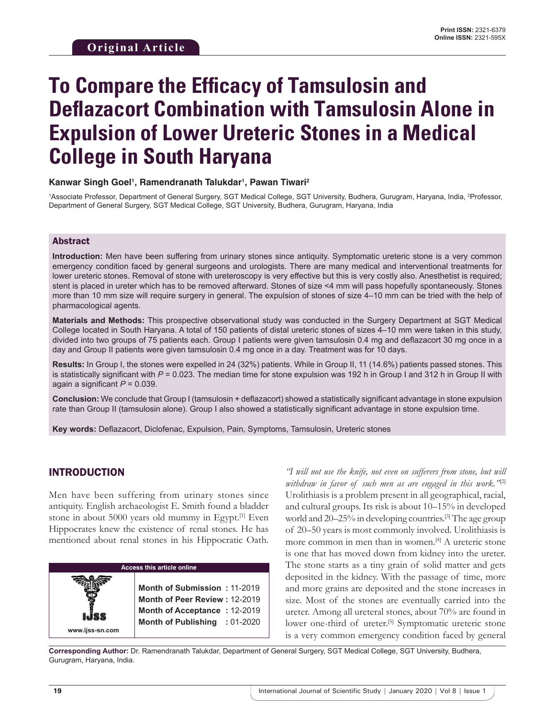#### **Kanwar Singh Goel1 , Ramendranath Talukdar1 , Pawan Tiwari2**

1 Associate Professor, Department of General Surgery, SGT Medical College, SGT University, Budhera, Gurugram, Haryana, India, 2 Professor, Department of General Surgery, SGT Medical College, SGT University, Budhera, Gurugram, Haryana, India

#### Abstract

**Introduction:** Men have been suffering from urinary stones since antiquity. Symptomatic ureteric stone is a very common emergency condition faced by general surgeons and urologists. There are many medical and interventional treatments for lower ureteric stones. Removal of stone with ureteroscopy is very effective but this is very costly also. Anesthetist is required; stent is placed in ureter which has to be removed afterward. Stones of size <4 mm will pass hopefully spontaneously. Stones more than 10 mm size will require surgery in general. The expulsion of stones of size 4–10 mm can be tried with the help of pharmacological agents.

**Materials and Methods:** This prospective observational study was conducted in the Surgery Department at SGT Medical College located in South Haryana. A total of 150 patients of distal ureteric stones of sizes 4–10 mm were taken in this study, divided into two groups of 75 patients each. Group I patients were given tamsulosin 0.4 mg and deflazacort 30 mg once in a day and Group II patients were given tamsulosin 0.4 mg once in a day. Treatment was for 10 days.

**Results:** In Group I, the stones were expelled in 24 (32%) patients. While in Group II, 11 (14.6%) patients passed stones. This is statistically significant with  $P = 0.023$ . The median time for stone expulsion was 192 h in Group I and 312 h in Group II with again a significant *P* = 0.039.

**Conclusion:** We conclude that Group I (tamsulosin + deflazacort) showed a statistically significant advantage in stone expulsion rate than Group II (tamsulosin alone). Group I also showed a statistically significant advantage in stone expulsion time.

**Key words:** Deflazacort, Diclofenac, Expulsion, Pain, Symptoms, Tamsulosin, Ureteric stones

## INTRODUCTION

Men have been suffering from urinary stones since antiquity. English archaeologist E. Smith found a bladder stone in about 5000 years old mummy in Egypt.<sup>[1]</sup> Even Hippocrates knew the existence of renal stones. He has mentioned about renal stones in his Hippocratic Oath.



*"I will not use the knife, not even on sufferers from stone, but will withdraw in favor of such men as are engaged in this work."*[2] Urolithiasis is a problem present in all geographical, racial, and cultural groups. Its risk is about 10–15% in developed world and 20–25% in developing countries.<sup>[3]</sup> The age group of 20–50 years is most commonly involved. Urolithiasis is more common in men than in women.[4] A ureteric stone is one that has moved down from kidney into the ureter. The stone starts as a tiny grain of solid matter and gets deposited in the kidney. With the passage of time, more and more grains are deposited and the stone increases in size. Most of the stones are eventually carried into the ureter. Among all ureteral stones, about 70% are found in lower one-third of ureter.<sup>[5]</sup> Symptomatic ureteric stone is a very common emergency condition faced by general

**Corresponding Author:** Dr. Ramendranath Talukdar, Department of General Surgery, SGT Medical College, SGT University, Budhera, Gurugram, Haryana, India.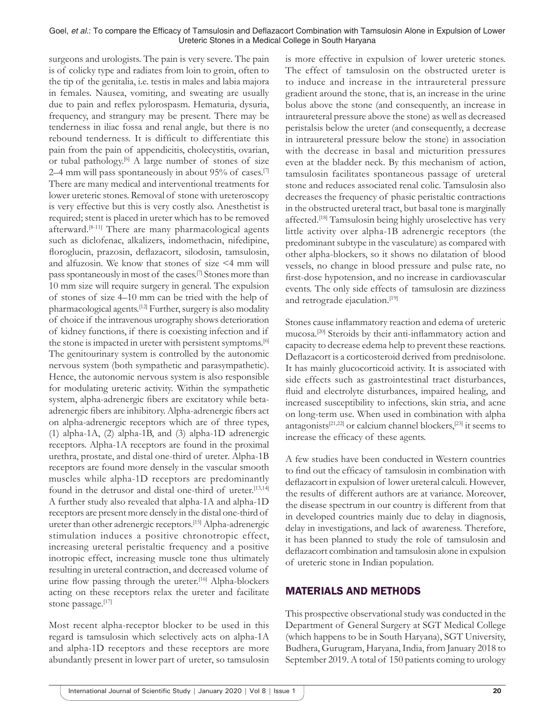surgeons and urologists. The pain is very severe. The pain is of colicky type and radiates from loin to groin, often to the tip of the genitalia, i.e. testis in males and labia majora in females. Nausea, vomiting, and sweating are usually due to pain and reflex pylorospasm. Hematuria, dysuria, frequency, and strangury may be present. There may be tenderness in iliac fossa and renal angle, but there is no rebound tenderness. It is difficult to differentiate this pain from the pain of appendicitis, cholecystitis, ovarian, or tubal pathology.<sup>[6]</sup> A large number of stones of size 2–4 mm will pass spontaneously in about 95% of cases.<sup>[7]</sup> There are many medical and interventional treatments for lower ureteric stones. Removal of stone with ureteroscopy is very effective but this is very costly also. Anesthetist is required; stent is placed in ureter which has to be removed afterward.[8-11] There are many pharmacological agents such as diclofenac, alkalizers, indomethacin, nifedipine, floroglucin, prazosin, deflazacort, silodosin, tamsulosin, and alfuzosin. We know that stones of size <4 mm will pass spontaneously in most of the cases.[7] Stones more than 10 mm size will require surgery in general. The expulsion of stones of size 4–10 mm can be tried with the help of pharmacological agents.[12] Further, surgery is also modality of choice if the intravenous urography shows deterioration of kidney functions, if there is coexisting infection and if the stone is impacted in ureter with persistent symptoms.<sup>[6]</sup> The genitourinary system is controlled by the autonomic nervous system (both sympathetic and parasympathetic). Hence, the autonomic nervous system is also responsible for modulating ureteric activity. Within the sympathetic system, alpha-adrenergic fibers are excitatory while betaadrenergic fibers are inhibitory. Alpha-adrenergic fibers act on alpha-adrenergic receptors which are of three types, (1) alpha-1A, (2) alpha-1B, and (3) alpha-1D adrenergic receptors. Alpha-1A receptors are found in the proximal urethra, prostate, and distal one-third of ureter. Alpha-1B receptors are found more densely in the vascular smooth muscles while alpha-1D receptors are predominantly found in the detrusor and distal one-third of ureter.<sup>[13,14]</sup> A further study also revealed that alpha-1A and alpha-1D receptors are present more densely in the distal one-third of ureter than other adrenergic receptors.[15] Alpha-adrenergic stimulation induces a positive chronotropic effect, increasing ureteral peristaltic frequency and a positive inotropic effect, increasing muscle tone thus ultimately resulting in ureteral contraction, and decreased volume of urine flow passing through the ureter.<sup>[16]</sup> Alpha-blockers acting on these receptors relax the ureter and facilitate stone passage.[17]

Most recent alpha-receptor blocker to be used in this regard is tamsulosin which selectively acts on alpha-1A and alpha-1D receptors and these receptors are more abundantly present in lower part of ureter, so tamsulosin is more effective in expulsion of lower ureteric stones. The effect of tamsulosin on the obstructed ureter is to induce and increase in the intraureteral pressure gradient around the stone, that is, an increase in the urine bolus above the stone (and consequently, an increase in intraureteral pressure above the stone) as well as decreased peristalsis below the ureter (and consequently, a decrease in intraureteral pressure below the stone) in association with the decrease in basal and micturition pressures even at the bladder neck. By this mechanism of action, tamsulosin facilitates spontaneous passage of ureteral stone and reduces associated renal colic. Tamsulosin also decreases the frequency of phasic peristaltic contractions in the obstructed ureteral tract, but basal tone is marginally affected.[18] Tamsulosin being highly uroselective has very little activity over alpha-1B adrenergic receptors (the predominant subtype in the vasculature) as compared with other alpha-blockers, so it shows no dilatation of blood vessels, no change in blood pressure and pulse rate, no first-dose hypotension, and no increase in cardiovascular events. The only side effects of tamsulosin are dizziness and retrograde ejaculation.<sup>[19]</sup>

Stones cause inflammatory reaction and edema of ureteric mucosa.[20] Steroids by their anti-inflammatory action and capacity to decrease edema help to prevent these reactions. Deflazacort is a corticosteroid derived from prednisolone. It has mainly glucocorticoid activity. It is associated with side effects such as gastrointestinal tract disturbances, fluid and electrolyte disturbances, impaired healing, and increased susceptibility to infections, skin stria, and acne on long-term use. When used in combination with alpha antagonists<sup>[21,22]</sup> or calcium channel blockers,<sup>[23]</sup> it seems to increase the efficacy of these agents.

A few studies have been conducted in Western countries to find out the efficacy of tamsulosin in combination with deflazacort in expulsion of lower ureteral calculi. However, the results of different authors are at variance. Moreover, the disease spectrum in our country is different from that in developed countries mainly due to delay in diagnosis, delay in investigations, and lack of awareness. Therefore, it has been planned to study the role of tamsulosin and deflazacort combination and tamsulosin alone in expulsion of ureteric stone in Indian population.

## MATERIALS AND METHODS

This prospective observational study was conducted in the Department of General Surgery at SGT Medical College (which happens to be in South Haryana), SGT University, Budhera, Gurugram, Haryana, India, from January 2018 to September 2019. A total of 150 patients coming to urology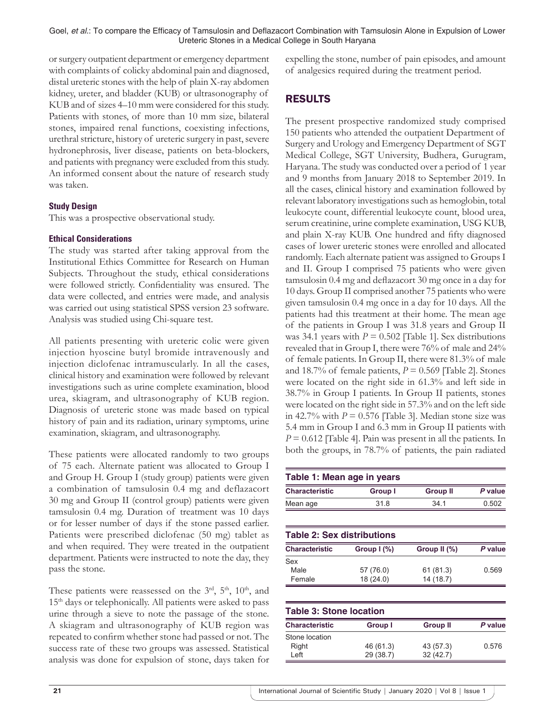or surgery outpatient department or emergency department with complaints of colicky abdominal pain and diagnosed, distal ureteric stones with the help of plain X-ray abdomen kidney, ureter, and bladder (KUB) or ultrasonography of KUB and of sizes 4–10 mm were considered for this study. Patients with stones, of more than 10 mm size, bilateral stones, impaired renal functions, coexisting infections, urethral stricture, history of ureteric surgery in past, severe hydronephrosis, liver disease, patients on beta-blockers, and patients with pregnancy were excluded from this study. An informed consent about the nature of research study was taken.

## **Study Design**

This was a prospective observational study.

#### **Ethical Considerations**

The study was started after taking approval from the Institutional Ethics Committee for Research on Human Subjects. Throughout the study, ethical considerations were followed strictly. Confidentiality was ensured. The data were collected, and entries were made, and analysis was carried out using statistical SPSS version 23 software. Analysis was studied using Chi-square test.

All patients presenting with ureteric colic were given injection hyoscine butyl bromide intravenously and injection diclofenac intramuscularly. In all the cases, clinical history and examination were followed by relevant investigations such as urine complete examination, blood urea, skiagram, and ultrasonography of KUB region. Diagnosis of ureteric stone was made based on typical history of pain and its radiation, urinary symptoms, urine examination, skiagram, and ultrasonography.

These patients were allocated randomly to two groups of 75 each. Alternate patient was allocated to Group I and Group H. Group I (study group) patients were given a combination of tamsulosin 0.4 mg and deflazacort 30 mg and Group II (control group) patients were given tamsulosin 0.4 mg. Duration of treatment was 10 days or for lesser number of days if the stone passed earlier. Patients were prescribed diclofenac (50 mg) tablet as and when required. They were treated in the outpatient department. Patients were instructed to note the day, they pass the stone.

These patients were reassessed on the  $3<sup>rd</sup>$ ,  $5<sup>th</sup>$ ,  $10<sup>th</sup>$ , and 15th days or telephonically. All patients were asked to pass urine through a sieve to note the passage of the stone. A skiagram and ultrasonography of KUB region was repeated to confirm whether stone had passed or not. The success rate of these two groups was assessed. Statistical analysis was done for expulsion of stone, days taken for expelling the stone, number of pain episodes, and amount of analgesics required during the treatment period.

# RESULTS

The present prospective randomized study comprised 150 patients who attended the outpatient Department of Surgery and Urology and Emergency Department of SGT Medical College, SGT University, Budhera, Gurugram, Haryana. The study was conducted over a period of 1 year and 9 months from January 2018 to September 2019. In all the cases, clinical history and examination followed by relevant laboratory investigations such as hemoglobin, total leukocyte count, differential leukocyte count, blood urea, serum creatinine, urine complete examination, USG KUB, and plain X-ray KUB. One hundred and fifty diagnosed cases of lower ureteric stones were enrolled and allocated randomly. Each alternate patient was assigned to Groups I and II. Group I comprised 75 patients who were given tamsulosin 0.4 mg and deflazacort 30 mg once in a day for 10 days. Group II comprised another 75 patients who were given tamsulosin 0.4 mg once in a day for 10 days. All the patients had this treatment at their home. The mean age of the patients in Group I was 31.8 years and Group II was 34.1 years with  $P = 0.502$  [Table 1]. Sex distributions revealed that in Group I, there were 76% of male and 24% of female patients. In Group II, there were 81.3% of male and 18.7% of female patients,  $P = 0.569$  [Table 2]. Stones were located on the right side in 61.3% and left side in 38.7% in Group I patients. In Group II patients, stones were located on the right side in 57.3% and on the left side in 42.7% with  $P = 0.576$  [Table 3]. Median stone size was 5.4 mm in Group I and 6.3 mm in Group II patients with *P* = 0.612 [Table 4]. Pain was present in all the patients. In both the groups, in 78.7% of patients, the pain radiated

| Table 1: Mean age in years     |             |                 |         |  |  |
|--------------------------------|-------------|-----------------|---------|--|--|
| <b>Characteristic</b>          | Group I     | <b>Group II</b> | P value |  |  |
| Mean age                       | 31.8        | 34.1            | 0.502   |  |  |
| Table 2: Sex distributions     |             |                 |         |  |  |
| <b>Characteristic</b>          | Group I (%) | Group II (%)    | P value |  |  |
| Sex                            |             |                 |         |  |  |
| Male                           | 57 (76.0)   | 61 (81.3)       | 0.569   |  |  |
| Female                         | 18 (24.0)   | 14 (18.7)       |         |  |  |
| <b>Table 3: Stone location</b> |             |                 |         |  |  |
| <b>Characteristic</b>          | Group I     | <b>Group II</b> | P value |  |  |
| Stone location                 |             |                 |         |  |  |
| Right                          | 46 (61.3)   | 43 (57.3)       | 0.576   |  |  |
| Left                           | 29 (38.7)   | 32(42.7)        |         |  |  |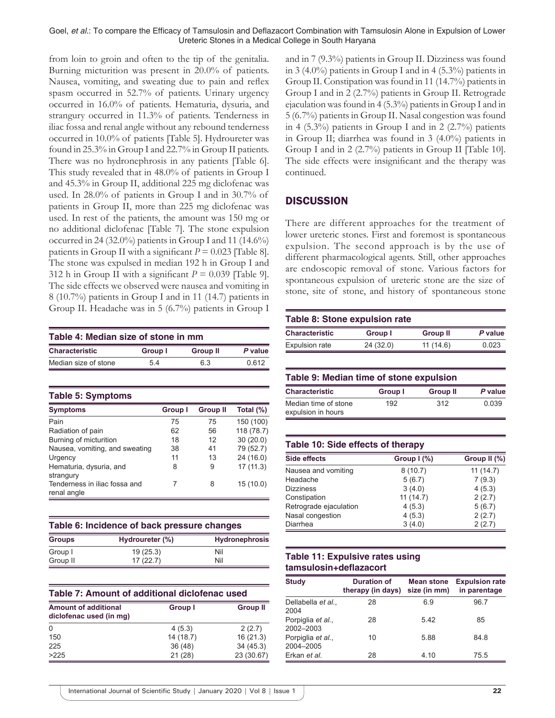from loin to groin and often to the tip of the genitalia. Burning micturition was present in 20.0% of patients. Nausea, vomiting, and sweating due to pain and reflex spasm occurred in 52.7% of patients. Urinary urgency occurred in 16.0% of patients. Hematuria, dysuria, and strangury occurred in 11.3% of patients. Tenderness in iliac fossa and renal angle without any rebound tenderness occurred in 10.0% of patients [Table 5]. Hydroureter was found in 25.3% in Group I and 22.7% in Group II patients. There was no hydronephrosis in any patients [Table 6]. This study revealed that in 48.0% of patients in Group I and 45.3% in Group II, additional 225 mg diclofenac was used. In 28.0% of patients in Group I and in 30.7% of patients in Group II, more than 225 mg diclofenac was used. In rest of the patients, the amount was 150 mg or no additional diclofenac [Table 7]. The stone expulsion occurred in 24 (32.0%) patients in Group I and 11 (14.6%) patients in Group II with a significant  $P = 0.023$  [Table 8]. The stone was expulsed in median 192 h in Group I and 312 h in Group II with a significant  $P = 0.039$  [Table 9]. The side effects we observed were nausea and vomiting in 8 (10.7%) patients in Group I and in 11 (14.7) patients in Group II. Headache was in 5 (6.7%) patients in Group I

| Table 4: Median size of stone in mm |         |                 |         |  |
|-------------------------------------|---------|-----------------|---------|--|
| <b>Characteristic</b>               | Group I | <b>Group II</b> | P value |  |
| Median size of stone                | 54      | 63              | በ 612   |  |

**Table 5: Symptoms**

| <b>Symptoms</b>                              | <b>Group I</b> | <b>Group II</b> | Total $(\%)$ |
|----------------------------------------------|----------------|-----------------|--------------|
| Pain                                         | 75             | 75              | 150 (100)    |
| Radiation of pain                            | 62             | 56              | 118 (78.7)   |
| Burning of micturition                       | 18             | 12              | 30(20.0)     |
| Nausea, vomiting, and sweating               | 38             | 41              | 79 (52.7)    |
| Urgency                                      | 11             | 13              | 24 (16.0)    |
| Hematuria, dysuria, and<br>strangury         | 8              | 9               | 17(11.3)     |
| Tenderness in iliac fossa and<br>renal angle |                | 8               | 15(10.0)     |

| Table 6: Incidence of back pressure changes |                 |                       |  |
|---------------------------------------------|-----------------|-----------------------|--|
| <b>Groups</b>                               | Hydroureter (%) | <b>Hydronephrosis</b> |  |
| Group I                                     | 19(25.3)        | Nil                   |  |
| Group II                                    | 17(22.7)        | Nil                   |  |

| Table 7: Amount of additional diclofenac used          |           |                 |  |
|--------------------------------------------------------|-----------|-----------------|--|
| <b>Amount of additional</b><br>diclofenac used (in mg) | Group I   | <b>Group II</b> |  |
| $\Omega$                                               | 4(5.3)    | 2(2.7)          |  |
| 150                                                    | 14 (18.7) | 16(21.3)        |  |
| 225                                                    | 36(48)    | 34(45.3)        |  |
| >225                                                   | 21(28)    | 23 (30.67)      |  |

and in 7 (9.3%) patients in Group II. Dizziness was found in 3 (4.0%) patients in Group I and in 4 (5.3%) patients in Group II. Constipation was found in 11 (14.7%) patients in Group I and in 2 (2.7%) patients in Group II. Retrograde ejaculation was found in 4 (5.3%) patients in Group I and in 5 (6.7%) patients in Group II. Nasal congestion was found in 4  $(5.3\%)$  patients in Group I and in 2  $(2.7\%)$  patients in Group II; diarrhea was found in 3 (4.0%) patients in Group I and in 2 (2.7%) patients in Group II [Table 10]. The side effects were insignificant and the therapy was continued.

## **DISCUSSION**

There are different approaches for the treatment of lower ureteric stones. First and foremost is spontaneous expulsion. The second approach is by the use of different pharmacological agents. Still, other approaches are endoscopic removal of stone. Various factors for spontaneous expulsion of ureteric stone are the size of stone, site of stone, and history of spontaneous stone

| <b>Table 8: Stone expulsion rate</b> |           |                 |         |  |
|--------------------------------------|-----------|-----------------|---------|--|
| <b>Characteristic</b>                | Group I   | <b>Group II</b> | P value |  |
| <b>Expulsion rate</b>                | 24 (32.0) | 11(14.6)        | 0.023   |  |

|  |  |  |  | Table 9: Median time of stone expulsion |
|--|--|--|--|-----------------------------------------|
|--|--|--|--|-----------------------------------------|

| <b>Characteristic</b>                      | Group I | <b>Group II</b> | P value |
|--------------------------------------------|---------|-----------------|---------|
| Median time of stone<br>expulsion in hours | 192     | 312             | 0.039   |

| Table 10: Side effects of therapy |             |              |  |
|-----------------------------------|-------------|--------------|--|
| <b>Side effects</b>               | Group $(%)$ | Group II (%) |  |
| Nausea and vomiting               | 8(10.7)     | 11(14.7)     |  |
| Headache                          | 5(6.7)      | 7(9.3)       |  |
| <b>Dizziness</b>                  | 3(4.0)      | 4(5.3)       |  |
| Constipation                      | 11(14.7)    | 2(2.7)       |  |
| Retrograde ejaculation            | 4(5.3)      | 5(6.7)       |  |
| Nasal congestion                  | 4(5.3)      | 2(2.7)       |  |
| Diarrhea                          | 3(4.0)      | 2(2.7)       |  |

## **Table 11: Expulsive rates using tamsulosin+deflazacort**

| <b>Study</b>                   | <b>Duration of</b><br>therapy (in days) | <b>Mean stone</b><br>size (in mm) | <b>Expulsion rate</b><br>in parentage |
|--------------------------------|-----------------------------------------|-----------------------------------|---------------------------------------|
| Dellabella et al.,<br>2004     | 28                                      | 6.9                               | 96.7                                  |
| Porpiglia et al.,<br>2002-2003 | 28                                      | 5.42                              | 85                                    |
| Porpiglia et al.,<br>2004-2005 | 10                                      | 5.88                              | 84.8                                  |
| Erkan et al.                   | 28                                      | 4.10                              | 75.5                                  |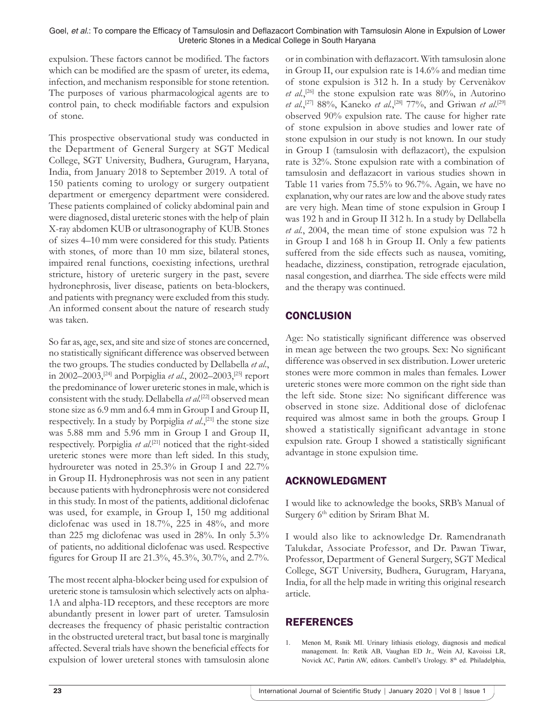expulsion. These factors cannot be modified. The factors which can be modified are the spasm of ureter, its edema, infection, and mechanism responsible for stone retention. The purposes of various pharmacological agents are to control pain, to check modifiable factors and expulsion of stone.

This prospective observational study was conducted in the Department of General Surgery at SGT Medical College, SGT University, Budhera, Gurugram, Haryana, India, from January 2018 to September 2019. A total of 150 patients coming to urology or surgery outpatient department or emergency department were considered. These patients complained of colicky abdominal pain and were diagnosed, distal ureteric stones with the help of plain X-ray abdomen KUB or ultrasonography of KUB. Stones of sizes 4–10 mm were considered for this study. Patients with stones, of more than 10 mm size, bilateral stones, impaired renal functions, coexisting infections, urethral stricture, history of ureteric surgery in the past, severe hydronephrosis, liver disease, patients on beta-blockers, and patients with pregnancy were excluded from this study. An informed consent about the nature of research study was taken.

So far as, age, sex, and site and size of stones are concerned, no statistically significant difference was observed between the two groups. The studies conducted by Dellabella *et al*., in 2002–2003,[24] and Porpiglia *et al*., 2002–2003,[25] report the predominance of lower ureteric stones in male, which is consistent with the study. Dellabella et al.<sup>[22]</sup> observed mean stone size as 6.9 mm and 6.4 mm in Group I and Group II, respectively. In a study by Porpiglia *et al*.,[21] the stone size was 5.88 mm and 5.96 mm in Group I and Group II, respectively. Porpiglia et al.<sup>[21]</sup> noticed that the right-sided ureteric stones were more than left sided. In this study, hydroureter was noted in 25.3% in Group I and 22.7% in Group II. Hydronephrosis was not seen in any patient because patients with hydronephrosis were not considered in this study. In most of the patients, additional diclofenac was used, for example, in Group I, 150 mg additional diclofenac was used in 18.7%, 225 in 48%, and more than 225 mg diclofenac was used in 28%. In only 5.3% of patients, no additional diclofenac was used. Respective figures for Group II are 21.3%, 45.3%, 30.7%, and 2.7%.

The most recent alpha-blocker being used for expulsion of ureteric stone is tamsulosin which selectively acts on alpha-1A and alpha-1D receptors, and these receptors are more abundantly present in lower part of ureter. Tamsulosin decreases the frequency of phasic peristaltic contraction in the obstructed ureteral tract, but basal tone is marginally affected. Several trials have shown the beneficial effects for expulsion of lower ureteral stones with tamsulosin alone or in combination with deflazacort. With tamsulosin alone in Group II, our expulsion rate is 14.6% and median time of stone expulsion is 312 h. In a study by Cervenàkov et al.,<sup>[26]</sup> the stone expulsion rate was 80%, in Autorino et al.,<sup>[27]</sup> 88%, Kaneko et al.,<sup>[28]</sup> 77%, and Griwan et al.<sup>[29]</sup> observed 90% expulsion rate. The cause for higher rate of stone expulsion in above studies and lower rate of stone expulsion in our study is not known. In our study in Group I (tamsulosin with deflazacort), the expulsion rate is 32%. Stone expulsion rate with a combination of tamsulosin and deflazacort in various studies shown in Table 11 varies from 75.5% to 96.7%. Again, we have no explanation, why our rates are low and the above study rates are very high. Mean time of stone expulsion in Group I was 192 h and in Group II 312 h. In a study by Dellabella *et al.*, 2004, the mean time of stone expulsion was 72 h in Group I and 168 h in Group II. Only a few patients suffered from the side effects such as nausea, vomiting, headache, dizziness, constipation, retrograde ejaculation, nasal congestion, and diarrhea. The side effects were mild and the therapy was continued.

## **CONCLUSION**

Age: No statistically significant difference was observed in mean age between the two groups. Sex: No significant difference was observed in sex distribution. Lower ureteric stones were more common in males than females. Lower ureteric stones were more common on the right side than the left side. Stone size: No significant difference was observed in stone size. Additional dose of diclofenac required was almost same in both the groups. Group I showed a statistically significant advantage in stone expulsion rate. Group I showed a statistically significant advantage in stone expulsion time.

## ACKNOWLEDGMENT

I would like to acknowledge the books, SRB's Manual of Surgery 6<sup>th</sup> edition by Sriram Bhat M.

I would also like to acknowledge Dr. Ramendranath Talukdar, Associate Professor, and Dr. Pawan Tiwar, Professor, Department of General Surgery, SGT Medical College, SGT University, Budhera, Gurugram, Haryana, India, for all the help made in writing this original research article.

## REFERENCES

1. Menon M, Rsnik MI. Urinary lithiasis etiology, diagnosis and medical management. In: Retik AB, Vaughan ED Jr., Wein AJ, Kavoissi LR, Novick AC, Partin AW, editors. Cambell's Urology. 8th ed. Philadelphia,